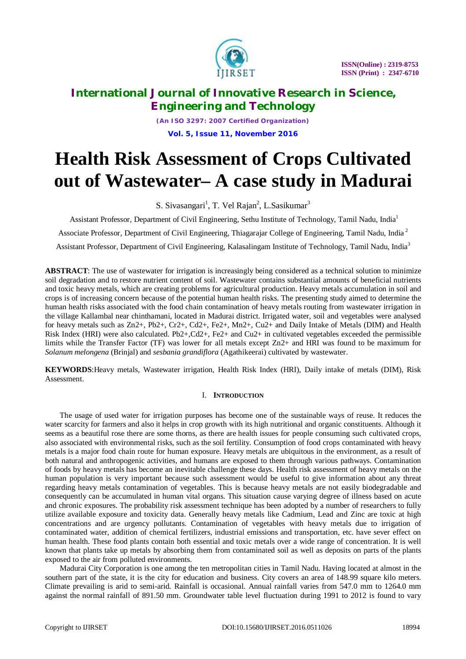

*(An ISO 3297: 2007 Certified Organization)* **Vol. 5, Issue 11, November 2016**

# **Health Risk Assessment of Crops Cultivated out of Wastewater– A case study in Madurai**

S. Sivasangari<sup>1</sup>, T. Vel Rajan<sup>2</sup>, L.Sasikumar<sup>3</sup>

Assistant Professor, Department of Civil Engineering, Sethu Institute of Technology, Tamil Nadu, India<sup>1</sup>

Associate Professor, Department of Civil Engineering, Thiagarajar College of Engineering, Tamil Nadu, India <sup>2</sup>

Assistant Professor, Department of Civil Engineering, Kalasalingam Institute of Technology, Tamil Nadu, India<sup>3</sup>

**ABSTRACT**: The use of wastewater for irrigation is increasingly being considered as a technical solution to minimize soil degradation and to restore nutrient content of soil. Wastewater contains substantial amounts of beneficial nutrients and toxic heavy metals, which are creating problems for agricultural production. Heavy metals accumulation in soil and crops is of increasing concern because of the potential human health risks. The presenting study aimed to determine the human health risks associated with the food chain contamination of heavy metals routing from wastewater irrigation in the village Kallambal near chinthamani, located in Madurai district. Irrigated water, soil and vegetables were analysed for heavy metals such as Zn2+, Pb2+, Cr2+, Cd2+, Fe2+, Mn2+, Cu2+ and Daily Intake of Metals (DIM) and Health Risk Index (HRI) were also calculated. Pb2+,Cd2+, Fe2+ and Cu2+ in cultivated vegetables exceeded the permissible limits while the Transfer Factor (TF) was lower for all metals except Zn2+ and HRI was found to be maximum for *Solanum melongena* (Brinjal) and *sesbania grandiflora* (Agathikeerai) cultivated by wastewater.

**KEYWORDS**:Heavy metals, Wastewater irrigation, Health Risk Index (HRI), Daily intake of metals (DIM), Risk Assessment.

### I. **INTRODUCTION**

The usage of used water for irrigation purposes has become one of the sustainable ways of reuse. It reduces the water scarcity for farmers and also it helps in crop growth with its high nutritional and organic constituents. Although it seems as a beautiful rose there are some thorns, as there are health issues for people consuming such cultivated crops, also associated with environmental risks, such as the soil fertility. Consumption of food crops contaminated with heavy metals is a major food chain route for human exposure. Heavy metals are ubiquitous in the environment, as a result of both natural and anthropogenic activities, and humans are exposed to them through various pathways. Contamination of foods by heavy metals has become an inevitable challenge these days. Health risk assessment of heavy metals on the human population is very important because such assessment would be useful to give information about any threat regarding heavy metals contamination of vegetables. This is because heavy metals are not easily biodegradable and consequently can be accumulated in human vital organs. This situation cause varying degree of illness based on acute and chronic exposures. The probability risk assessment technique has been adopted by a number of researchers to fully utilize available exposure and toxicity data. Generally heavy metals like Cadmium, Lead and Zinc are toxic at high concentrations and are urgency pollutants. Contamination of vegetables with heavy metals due to irrigation of contaminated water, addition of chemical fertilizers, industrial emissions and transportation, etc. have sever effect on human health. These food plants contain both essential and toxic metals over a wide range of concentration. It is well known that plants take up metals by absorbing them from contaminated soil as well as deposits on parts of the plants exposed to the air from polluted environments.

Madurai City Corporation is one among the ten metropolitan cities in Tamil Nadu. Having located at almost in the southern part of the state, it is the city for education and business. City covers an area of 148.99 square kilo meters. Climate prevailing is arid to semi-arid. Rainfall is occasional. Annual rainfall varies from 547.0 mm to 1264.0 mm against the normal rainfall of 891.50 mm. Groundwater table level fluctuation during 1991 to 2012 is found to vary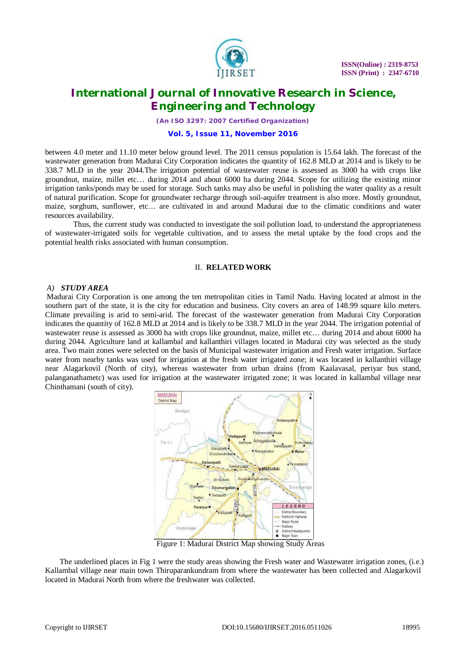

*(An ISO 3297: 2007 Certified Organization)*

#### **Vol. 5, Issue 11, November 2016**

between 4.0 meter and 11.10 meter below ground level. The 2011 census population is 15.64 lakh. The forecast of the wastewater generation from Madurai City Corporation indicates the quantity of 162.8 MLD at 2014 and is likely to be 338.7 MLD in the year 2044.The irrigation potential of wastewater reuse is assessed as 3000 ha with crops like groundnut, maize, millet etc… during 2014 and about 6000 ha during 2044. Scope for utilizing the existing minor irrigation tanks/ponds may be used for storage. Such tanks may also be useful in polishing the water quality as a result of natural purification. Scope for groundwater recharge through soil-aquifer treatment is also more. Mostly groundnut, maize, sorghum, sunflower, etc… are cultivated in and around Madurai due to the climatic conditions and water resources availability.

Thus, the current study was conducted to investigate the soil pollution load, to understand the appropriateness of wastewater-irrigated soils for vegetable cultivation, and to assess the metal uptake by the food crops and the potential health risks associated with human consumption.

### II. **RELATED WORK**

#### *A) STUDY AREA*

Madurai City Corporation is one among the ten metropolitan cities in Tamil Nadu. Having located at almost in the southern part of the state, it is the city for education and business. City covers an area of 148.99 square kilo meters. Climate prevailing is arid to semi-arid. The forecast of the wastewater generation from Madurai City Corporation indicates the quantity of 162.8 MLD at 2014 and is likely to be 338.7 MLD in the year 2044. The irrigation potential of wastewater reuse is assessed as 3000 ha with crops like groundnut, maize, millet etc… during 2014 and about 6000 ha during 2044. Agriculture land at kallambal and kallanthiri villages located in Madurai city was selected as the study area. Two main zones were selected on the basis of Municipal wastewater irrigation and Fresh water irrigation. Surface water from nearby tanks was used for irrigation at the fresh water irrigated zone; it was located in kallanthiri village near Alagarkovil (North of city), whereas wastewater from urban drains (from Kaalavasal, periyar bus stand, palanganathametc) was used for irrigation at the wastewater irrigated zone; it was located in kallambal village near Chinthamani (south of city).



Figure 1: Madurai District Map showing Study Areas

The underlined places in Fig 1 were the study areas showing the Fresh water and Wastewater irrigation zones, (i.e.) Kallambal village near main town Thiruparankundram from where the wastewater has been collected and Alagarkovil located in Madurai North from where the freshwater was collected.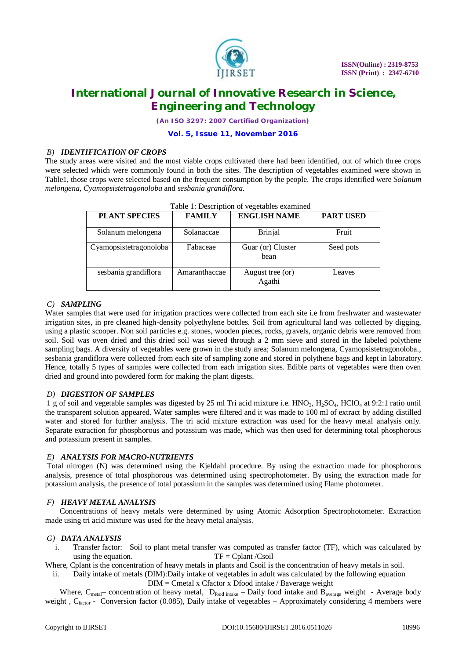

*(An ISO 3297: 2007 Certified Organization)*

### **Vol. 5, Issue 11, November 2016**

### *B) IDENTIFICATION OF CROPS*

The study areas were visited and the most viable crops cultivated there had been identified, out of which three crops were selected which were commonly found in both the sites. The description of vegetables examined were shown in Table1, those crops were selected based on the frequent consumption by the people. The crops identified were *Solanum melongena, Cyamopsistetragonoloba* and *sesbania grandiflora.*

| Table 1: Description of vegetables examined |               |                            |                  |  |  |  |  |
|---------------------------------------------|---------------|----------------------------|------------------|--|--|--|--|
| <b>PLANT SPECIES</b>                        | <b>FAMILY</b> | <b>ENGLISH NAME</b>        | <b>PART USED</b> |  |  |  |  |
| Solanum melongena                           | Solanaccae    | Brinjal                    | Fruit            |  |  |  |  |
| Cyamopsistetragonoloba                      | Fabaceae      | Guar (or) Cluster<br>bean  | Seed pots        |  |  |  |  |
| sesbania grandiflora                        | Amaranthaccae | August tree (or)<br>Agathi | Leaves           |  |  |  |  |

### *C) SAMPLING*

Water samples that were used for irrigation practices were collected from each site i.e from freshwater and wastewater irrigation sites, in pre cleaned high-density polyethylene bottles. Soil from agricultural land was collected by digging, using a plastic scooper. Non soil particles e.g. stones, wooden pieces, rocks, gravels, organic debris were removed from soil. Soil was oven dried and this dried soil was sieved through a 2 mm sieve and stored in the labeled polythene sampling bags. A diversity of vegetables were grown in the study area; Solanum melongena, Cyamopsistetragonoloba., sesbania grandiflora were collected from each site of sampling zone and stored in polythene bags and kept in laboratory. Hence, totally 5 types of samples were collected from each irrigation sites. Edible parts of vegetables were then oven dried and ground into powdered form for making the plant digests.

### *D) DIGESTION OF SAMPLES*

1 g of soil and vegetable samples was digested by 25 ml Tri acid mixture i.e. HNO<sub>3</sub>, H<sub>2</sub>SO<sub>4</sub>, HClO<sub>4</sub> at 9:2:1 ratio until the transparent solution appeared. Water samples were filtered and it was made to 100 ml of extract by adding distilled water and stored for further analysis. The tri acid mixture extraction was used for the heavy metal analysis only. Separate extraction for phosphorous and potassium was made, which was then used for determining total phosphorous and potassium present in samples.

### *E) ANALYSIS FOR MACRO-NUTRIENTS*

Total nitrogen (N) was determined using the Kjeldahl procedure. By using the extraction made for phosphorous analysis, presence of total phosphorous was determined using spectrophotometer. By using the extraction made for potassium analysis, the presence of total potassium in the samples was determined using Flame photometer.

#### *F) HEAVY METAL ANALYSIS*

Concentrations of heavy metals were determined by using Atomic Adsorption Spectrophotometer. Extraction made using tri acid mixture was used for the heavy metal analysis.

#### *G) DATA ANALYSIS*

i. Transfer factor: Soil to plant metal transfer was computed as transfer factor (TF), which was calculated by using the equation. TF = Cplant  $\sqrt{C}$ soil

Where, Cplant is the concentration of heavy metals in plants and Csoil is the concentration of heavy metals in soil.

ii. Daily intake of metals (DIM):Daily intake of vegetables in adult was calculated by the following equation DIM = Cmetal x Cfactor x Dfood intake / Baverage weight

Where,  $C_{metal}$  concentration of heavy metal,  $D_{food\ intake}$  – Daily food intake and  $B_{average}$  weight - Average body weight,  $C_{factor}$  - Conversion factor (0.085), Daily intake of vegetables – Approximately considering 4 members were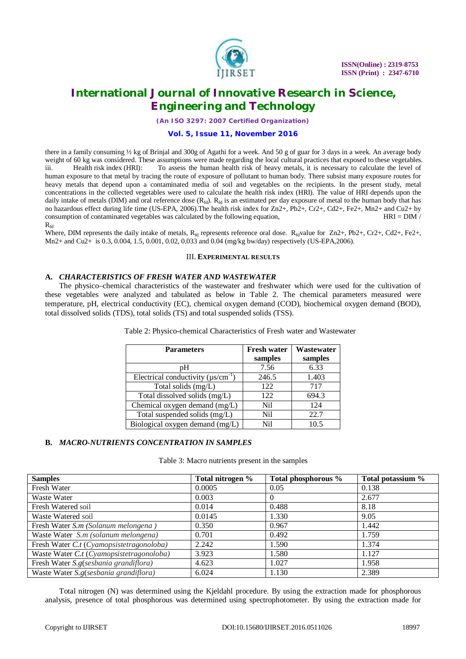

*(An ISO 3297: 2007 Certified Organization)*

#### **Vol. 5, Issue 11, November 2016**

there in a family consuming ½ kg of Brinjal and 300g of Agathi for a week. And 50 g of guar for 3 days in a week. An average body weight of 60 kg was considered. These assumptions were made regarding the local cultural practices that exposed to these vegetables. iii. Health risk index (HRI): To assess the human health risk of heavy metals, it is necessary to calculate the level of human exposure to that metal by tracing the route of exposure of pollutant to human body. There subsist many exposure routes for heavy metals that depend upon a contaminated media of soil and vegetables on the recipients. In the present study, metal concentrations in the collected vegetables were used to calculate the health risk index (HRI). The value of HRI depends upon the daily intake of metals (DIM) and oral reference dose  $(R_{fd})$ .  $R_{fd}$  is an estimated per day exposure of metal to the human body that has no hazardous effect during life time (US-EPA, 2006).The health risk index for Zn2+, Pb2+, Cr2+, Cd2+, Fe2+, Mn2+ and Cu2+ by consumption of contaminated vegetables was calculated by the following equation, HRI = DIM /

 $R_{\text{fd}}$ 

Where, DIM represents the daily intake of metals,  $R_{fd}$  represents reference oral dose.  $R_{fd}$ value for Zn2+, Pb2+, Cr2+, Cd2+, Fe2+, Mn2+ and Cu2+ is 0.3, 0.004, 1.5, 0.001, 0.02, 0.033 and 0.04 (mg/kg bw/day) respectively (US-EPA,2006).

#### III. **EXPERIMENTAL RESULTS**

### **A.** *CHARACTERISTICS OF FRESH WATER AND WASTEWATER*

The physico–chemical characteristics of the wastewater and freshwater which were used for the cultivation of these vegetables were analyzed and tabulated as below in Table 2. The chemical parameters measured were temperature, pH, electrical conductivity (EC), chemical oxygen demand (COD), biochemical oxygen demand (BOD), total dissolved solids (TDS), total solids (TS) and total suspended solids (TSS).

| <b>Parameters</b>                         | <b>Fresh water</b> | Wastewater |
|-------------------------------------------|--------------------|------------|
|                                           | samples            | samples    |
| pH                                        | 7.56               | 6.33       |
| Electrical conductivity $(\mu s/cm^{-1})$ | 246.5              | 1.403      |
| Total solids (mg/L)                       | 122                | 717        |
| Total dissolved solids (mg/L)             | 122                | 694.3      |
| Chemical oxygen demand (mg/L)             | Nil                | 124        |
| Total suspended solids (mg/L)             | Nil                | 22.7       |
| Biological oxygen demand (mg/L)           | Ni1                | 10.5       |

Table 2: Physico-chemical Characteristics of Fresh water and Wastewater

### **B.** *MACRO-NUTRIENTS CONCENTRATION IN SAMPLES*

Table 3: Macro nutrients present in the samples

| <b>Samples</b>                           | Total nitrogen % | Total phosphorous % | Total potassium % |
|------------------------------------------|------------------|---------------------|-------------------|
| Fresh Water                              | 0.0005           | 0.05                | 0.138             |
| Waste Water                              | 0.003            | $\Omega$            | 2.677             |
| Fresh Watered soil                       | 0.014            | 0.488               | 8.18              |
| Waste Watered soil                       | 0.0145           | 1.330               | 9.05              |
| Fresh Water S.m (Solanum melongena)      | 0.350            | 0.967               | 1.442             |
| Waste Water S.m (solanum melongena)      | 0.701            | 0.492               | 1.759             |
| Fresh Water C.t (Cyamopsistetragonoloba) | 2.242            | 1.590               | 1.374             |
| Waste Water C.t (Cyamopsistetragonoloba) | 3.923            | 1.580               | 1.127             |
| Fresh Water S.g(sesbania grandiflora)    | 4.623            | 1.027               | 1.958             |
| Waste Water S.g(sesbania grandiflora)    | 6.024            | 1.130               | 2.389             |

Total nitrogen (N) was determined using the Kjeldahl procedure. By using the extraction made for phosphorous analysis, presence of total phosphorous was determined using spectrophotometer. By using the extraction made for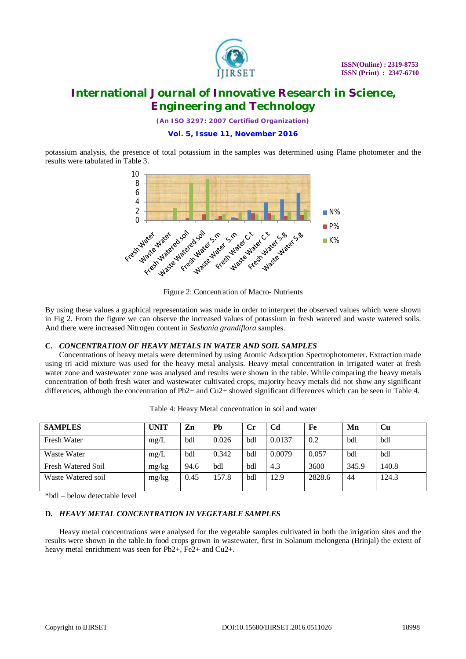

*(An ISO 3297: 2007 Certified Organization)*

### **Vol. 5, Issue 11, November 2016**

potassium analysis, the presence of total potassium in the samples was determined using Flame photometer and the results were tabulated in Table 3.



Figure 2: Concentration of Macro- Nutrients

By using these values a graphical representation was made in order to interpret the observed values which were shown in Fig 2. From the figure we can observe the increased values of potassium in fresh watered and waste watered soils. And there were increased Nitrogen content in *Sesbania grandiflora* samples.

### **C.** *CONCENTRATION OF HEAVY METALS IN WATER AND SOIL SAMPLES*

Concentrations of heavy metals were determined by using Atomic Adsorption Spectrophotometer. Extraction made using tri acid mixture was used for the heavy metal analysis. Heavy metal concentration in irrigated water at fresh water zone and wastewater zone was analysed and results were shown in the table. While comparing the heavy metals concentration of both fresh water and wastewater cultivated crops, majority heavy metals did not show any significant differences, although the concentration of Pb2+ and Cu2+ showed significant differences which can be seen in Table 4.

| <b>SAMPLES</b>     | <b>UNIT</b> | Zn   | Pb    |     | C <sub>d</sub> | Fe     | Mn    | Cu    |
|--------------------|-------------|------|-------|-----|----------------|--------|-------|-------|
| Fresh Water        | mg/L        | bdl  | 0.026 | bdl | 0.0137         | 0.2    | bdl   | bdl   |
| Waste Water        | mg/L        | bdl  | 0.342 | bdl | 0.0079         | 0.057  | bdl   | bdl   |
| Fresh Watered Soil | mg/kg       | 94.6 | bdl   | bdl | 4.3            | 3600   | 345.9 | 140.8 |
| Waste Watered soil | mg/kg       | 0.45 | 157.8 | bdl | 12.9           | 2828.6 | 44    | 124.3 |

Table 4: Heavy Metal concentration in soil and water

\*bdl – below detectable level

### **D.** *HEAVY METAL CONCENTRATION IN VEGETABLE SAMPLES*

Heavy metal concentrations were analysed for the vegetable samples cultivated in both the irrigation sites and the results were shown in the table.In food crops grown in wastewater, first in Solanum melongena (Brinjal) the extent of heavy metal enrichment was seen for Pb2+, Fe2+ and Cu2+.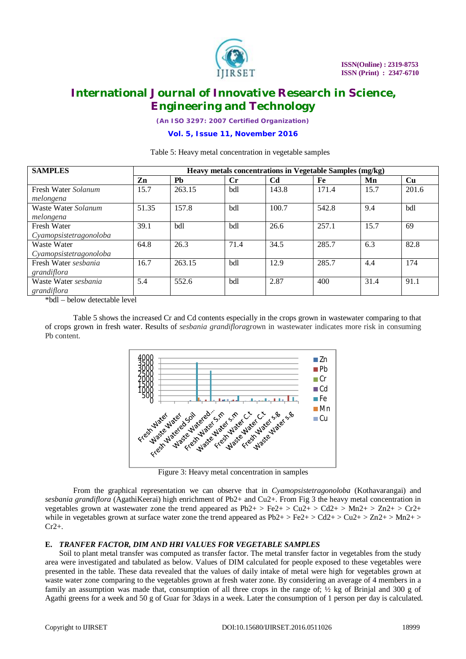

*(An ISO 3297: 2007 Certified Organization)*

### **Vol. 5, Issue 11, November 2016**

Table 5: Heavy metal concentration in vegetable samples

| <b>SAMPLES</b>         | Heavy metals concentrations in Vegetable Samples (mg/kg) |           |      |                |       |      |           |
|------------------------|----------------------------------------------------------|-----------|------|----------------|-------|------|-----------|
|                        | Zn                                                       | <b>Ph</b> | Cr.  | C <sub>d</sub> | Fe    | Mn   | <b>Cu</b> |
| Fresh Water Solanum    | 15.7                                                     | 263.15    | bdl  | 143.8          | 171.4 | 15.7 | 201.6     |
| melongena              |                                                          |           |      |                |       |      |           |
| Waste Water Solanum    | 51.35                                                    | 157.8     | bdl  | 100.7          | 542.8 | 9.4  | bdl       |
| melongena              |                                                          |           |      |                |       |      |           |
| Fresh Water            | 39.1                                                     | bdl       | bdl  | 26.6           | 257.1 | 15.7 | 69        |
| Cyamopsistetragonoloba |                                                          |           |      |                |       |      |           |
| Waste Water            | 64.8                                                     | 26.3      | 71.4 | 34.5           | 285.7 | 6.3  | 82.8      |
| Cyamopsistetragonoloba |                                                          |           |      |                |       |      |           |
| Fresh Water sesbania   | 16.7                                                     | 263.15    | bdl  | 12.9           | 285.7 | 4.4  | 174       |
| grandiflora            |                                                          |           |      |                |       |      |           |
| Waste Water sesbania   | 5.4                                                      | 552.6     | bdl  | 2.87           | 400   | 31.4 | 91.1      |
| grandiflora            |                                                          |           |      |                |       |      |           |

\*bdl – below detectable level

Table 5 shows the increased Cr and Cd contents especially in the crops grown in wastewater comparing to that of crops grown in fresh water. Results of *sesbania grandiflora*grown in wastewater indicates more risk in consuming Pb content.



Figure 3: Heavy metal concentration in samples

From the graphical representation we can observe that in *Cyamopsistetragonoloba* (Kothavarangai) and *sesbania grandiflora* (AgathiKeerai) high enrichment of Pb2+ and Cu2+. From Fig 3 the heavy metal concentration in vegetables grown at wastewater zone the trend appeared as  $Pb2+$  >  $Fe2+$  >  $Cu2+$  >  $Cd2+$  >  $Mn2+$  >  $Zn2+$  >  $Cr2+$ while in vegetables grown at surface water zone the trend appeared as  $Pb2+$  > Fe2+ > Cd2+ > Cu2+ > Zn2+ > Mn2+ >  $Cr2+$ .

### **E.** *TRANFER FACTOR, DIM AND HRI VALUES FOR VEGETABLE SAMPLES*

Soil to plant metal transfer was computed as transfer factor. The metal transfer factor in vegetables from the study area were investigated and tabulated as below. Values of DIM calculated for people exposed to these vegetables were presented in the table. These data revealed that the values of daily intake of metal were high for vegetables grown at waste water zone comparing to the vegetables grown at fresh water zone. By considering an average of 4 members in a family an assumption was made that, consumption of all three crops in the range of;  $\frac{1}{2}$  kg of Brinjal and 300 g of Agathi greens for a week and 50 g of Guar for 3days in a week. Later the consumption of 1 person per day is calculated.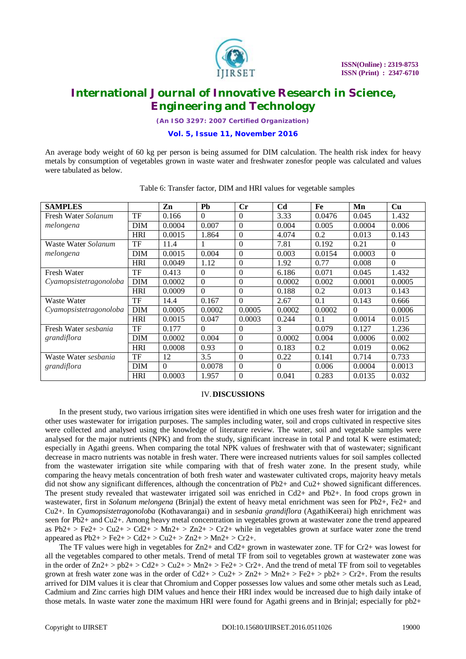

*(An ISO 3297: 2007 Certified Organization)*

**Vol. 5, Issue 11, November 2016**

An average body weight of 60 kg per person is being assumed for DIM calculation. The health risk index for heavy metals by consumption of vegetables grown in waste water and freshwater zonesfor people was calculated and values were tabulated as below.

| <b>SAMPLES</b>         |            | Zn       | <b>Ph</b> | Cr       | C <sub>d</sub> | Fe     | Mn       | <b>Cu</b> |
|------------------------|------------|----------|-----------|----------|----------------|--------|----------|-----------|
| Fresh Water Solanum    | TF         | 0.166    | $\Omega$  | $\Omega$ | 3.33           | 0.0476 | 0.045    | 1.432     |
| melongena              | <b>DIM</b> | 0.0004   | 0.007     | $\Omega$ | 0.004          | 0.005  | 0.0004   | 0.006     |
|                        | <b>HRI</b> | 0.0015   | 1.864     | $\Omega$ | 4.074          | 0.2    | 0.013    | 0.143     |
| Waste Water Solanum    | TF         | 11.4     |           | $\Omega$ | 7.81           | 0.192  | 0.21     | $\Omega$  |
| melongena              | <b>DIM</b> | 0.0015   | 0.004     | $\Omega$ | 0.003          | 0.0154 | 0.0003   | $\theta$  |
|                        | <b>HRI</b> | 0.0049   | 1.12      | $\Omega$ | 1.92           | 0.77   | 0.008    | $\theta$  |
| Fresh Water            | TF         | 0.413    | $\Omega$  | $\Omega$ | 6.186          | 0.071  | 0.045    | 1.432     |
| Cyamopsistetragonoloba | <b>DIM</b> | 0.0002   | $\Omega$  | $\Omega$ | 0.0002         | 0.002  | 0.0001   | 0.0005    |
|                        | <b>HRI</b> | 0.0009   | $\Omega$  | $\Omega$ | 0.188          | 0.2    | 0.013    | 0.143     |
| <b>Waste Water</b>     | TF         | 14.4     | 0.167     | $\Omega$ | 2.67           | 0.1    | 0.143    | 0.666     |
| Cyamopsistetragonoloba | <b>DIM</b> | 0.0005   | 0.0002    | 0.0005   | 0.0002         | 0.0002 | $\Omega$ | 0.0006    |
|                        | <b>HRI</b> | 0.0015   | 0.047     | 0.0003   | 0.244          | 0.1    | 0.0014   | 0.015     |
| Fresh Water sesbania   | TF         | 0.177    | $\theta$  | $\Omega$ | 3              | 0.079  | 0.127    | 1.236     |
| grandiflora            | <b>DIM</b> | 0.0002   | 0.004     | $\Omega$ | 0.0002         | 0.004  | 0.0006   | 0.002     |
|                        | <b>HRI</b> | 0.0008   | 0.93      | $\Omega$ | 0.183          | 0.2    | 0.019    | 0.062     |
| Waste Water sesbania   | TF         | 12       | 3.5       | $\Omega$ | 0.22           | 0.141  | 0.714    | 0.733     |
| grandiflora            | <b>DIM</b> | $\Omega$ | 0.0078    | $\Omega$ | $\Omega$       | 0.006  | 0.0004   | 0.0013    |
|                        | <b>HRI</b> | 0.0003   | 1.957     | $\theta$ | 0.041          | 0.283  | 0.0135   | 0.032     |

Table 6: Transfer factor, DIM and HRI values for vegetable samples

#### IV.**DISCUSSIONS**

In the present study, two various irrigation sites were identified in which one uses fresh water for irrigation and the other uses wastewater for irrigation purposes. The samples including water, soil and crops cultivated in respective sites were collected and analysed using the knowledge of literature review. The water, soil and vegetable samples were analysed for the major nutrients (NPK) and from the study, significant increase in total P and total K were estimated; especially in Agathi greens. When comparing the total NPK values of freshwater with that of wastewater; significant decrease in macro nutrients was notable in fresh water. There were increased nutrients values for soil samples collected from the wastewater irrigation site while comparing with that of fresh water zone. In the present study, while comparing the heavy metals concentration of both fresh water and wastewater cultivated crops, majority heavy metals did not show any significant differences, although the concentration of Pb2+ and Cu2+ showed significant differences. The present study revealed that wastewater irrigated soil was enriched in Cd2+ and Pb2+. In food crops grown in wastewater, first in *Solanum melongena* (Brinjal) the extent of heavy metal enrichment was seen for Pb2+, Fe2+ and Cu2+. In *Cyamopsistetragonoloba* (Kothavarangai) and in *sesbania grandiflora* (AgathiKeerai) high enrichment was seen for Pb2+ and Cu2+. Among heavy metal concentration in vegetables grown at wastewater zone the trend appeared as  $Pb2+$  >  $Fe2+$  >  $Cu2+$  >  $Ca2+$  >  $Mn2+$  >  $Zn2+$  >  $Cr2+$  while in vegetables grown at surface water zone the trend appeared as  $Pb2+ > Fe2+ > Cd2+ > Cu2+ > Zn2+ > Mn2+ > Cr2+$ .

The TF values were high in vegetables for Zn2+ and Cd2+ grown in wastewater zone. TF for Cr2+ was lowest for all the vegetables compared to other metals. Trend of metal TF from soil to vegetables grown at wastewater zone was in the order of  $Zn2+$  >  $pb2+$  >  $Cd2+$  >  $Cu2+$  >  $Mn2+$  >  $Fe2+$  >  $Cr2+$ . And the trend of metal TF from soil to vegetables grown at fresh water zone was in the order of  $Cd2+$  >  $Cu2+$  >  $Zn2+$  >  $Mn2+$  >  $Fe2+$  >  $pb2+$  >  $Cr2+$ . From the results arrived for DIM values it is clear that Chromium and Copper possesses low values and some other metals such as Lead, Cadmium and Zinc carries high DIM values and hence their HRI index would be increased due to high daily intake of those metals. In waste water zone the maximum HRI were found for Agathi greens and in Brinjal; especially for pb2+